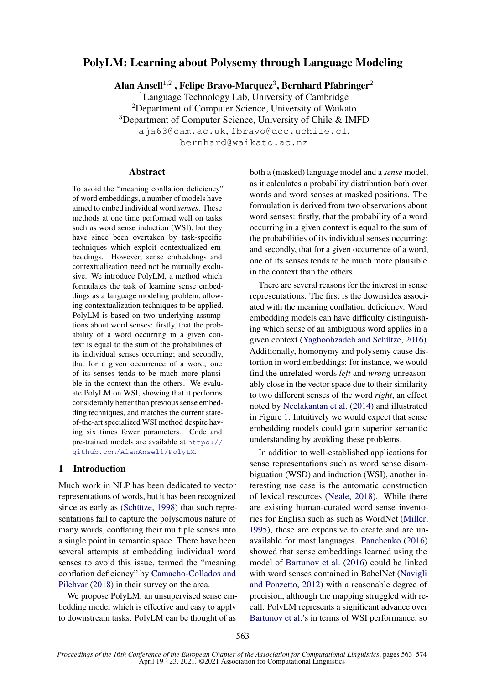# PolyLM: Learning about Polysemy through Language Modeling

Alan Ansell $^{1,2}$  , Felipe Bravo-Marquez<sup>3</sup>, Bernhard Pfahringer<sup>2</sup>

<sup>1</sup>Language Technology Lab, University of Cambridge <sup>2</sup>Department of Computer Science, University of Waikato <sup>3</sup>Department of Computer Science, University of Chile & IMFD aja63@cam.ac.uk, fbravo@dcc.uchile.cl,

bernhard@waikato.ac.nz

### **Abstract**

To avoid the "meaning conflation deficiency" of word embeddings, a number of models have aimed to embed individual word *senses*. These methods at one time performed well on tasks such as word sense induction (WSI), but they have since been overtaken by task-specific techniques which exploit contextualized embeddings. However, sense embeddings and contextualization need not be mutually exclusive. We introduce PolyLM, a method which formulates the task of learning sense embeddings as a language modeling problem, allowing contextualization techniques to be applied. PolyLM is based on two underlying assumptions about word senses: firstly, that the probability of a word occurring in a given context is equal to the sum of the probabilities of its individual senses occurring; and secondly, that for a given occurrence of a word, one of its senses tends to be much more plausible in the context than the others. We evaluate PolyLM on WSI, showing that it performs considerably better than previous sense embedding techniques, and matches the current stateof-the-art specialized WSI method despite having six times fewer parameters. Code and pre-trained models are available at [https://](https://github.com/AlanAnsell/PolyLM) [github.com/AlanAnsell/PolyLM](https://github.com/AlanAnsell/PolyLM).

## 1 Introduction

Much work in NLP has been dedicated to vector representations of words, but it has been recognized since as early as (Schütze, [1998\)](#page-9-0) that such representations fail to capture the polysemous nature of many words, conflating their multiple senses into a single point in semantic space. There have been several attempts at embedding individual word senses to avoid this issue, termed the "meaning conflation deficiency" by [Camacho-Collados and](#page-8-0) [Pilehvar](#page-8-0) [\(2018\)](#page-8-0) in their survey on the area.

We propose PolyLM, an unsupervised sense embedding model which is effective and easy to apply to downstream tasks. PolyLM can be thought of as

both a (masked) language model and a *sense* model, as it calculates a probability distribution both over words and word senses at masked positions. The formulation is derived from two observations about word senses: firstly, that the probability of a word occurring in a given context is equal to the sum of the probabilities of its individual senses occurring; and secondly, that for a given occurrence of a word, one of its senses tends to be much more plausible in the context than the others.

There are several reasons for the interest in sense representations. The first is the downsides associated with the meaning conflation deficiency. Word embedding models can have difficulty distinguishing which sense of an ambiguous word applies in a given context (Yaghoobzadeh and Schütze, [2016\)](#page-10-0). Additionally, homonymy and polysemy cause distortion in word embeddings: for instance, we would find the unrelated words *left* and *wrong* unreasonably close in the vector space due to their similarity to two different senses of the word *right*, an effect noted by [Neelakantan et al.](#page-9-1) [\(2014\)](#page-9-1) and illustrated in Figure [1.](#page-1-0) Intuitively we would expect that sense embedding models could gain superior semantic understanding by avoiding these problems.

In addition to well-established applications for sense representations such as word sense disambiguation (WSD) and induction (WSI), another interesting use case is the automatic construction of lexical resources [\(Neale,](#page-9-2) [2018\)](#page-9-2). While there are existing human-curated word sense inventories for English such as such as WordNet [\(Miller,](#page-9-3) [1995\)](#page-9-3), these are expensive to create and are unavailable for most languages. [Panchenko](#page-9-4) [\(2016\)](#page-9-4) showed that sense embeddings learned using the model of [Bartunov et al.](#page-8-1) [\(2016\)](#page-8-1) could be linked with word senses contained in BabelNet [\(Navigli](#page-9-5) [and Ponzetto,](#page-9-5) [2012\)](#page-9-5) with a reasonable degree of precision, although the mapping struggled with recall. PolyLM represents a significant advance over [Bartunov et al.'](#page-8-1)s in terms of WSI performance, so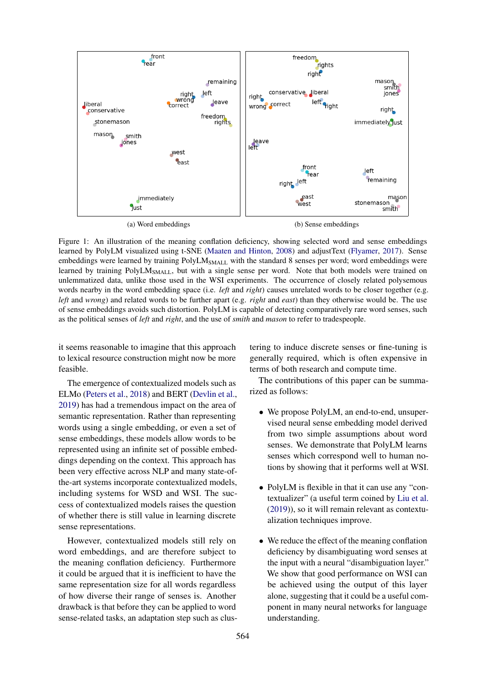<span id="page-1-0"></span>

Figure 1: An illustration of the meaning conflation deficiency, showing selected word and sense embeddings learned by PolyLM visualized using t-SNE [\(Maaten and Hinton,](#page-9-6) [2008\)](#page-9-6) and adjustText [\(Flyamer,](#page-8-2) [2017\)](#page-8-2). Sense embeddings were learned by training PolyLM<sub>SMALL</sub> with the standard 8 senses per word; word embeddings were learned by training PolyLM<sub>SMALL</sub>, but with a single sense per word. Note that both models were trained on unlemmatized data, unlike those used in the WSI experiments. The occurrence of closely related polysemous words nearby in the word embedding space (i.e. *left* and *right*) causes unrelated words to be closer together (e.g. *left* and *wrong*) and related words to be further apart (e.g. *right* and *east*) than they otherwise would be. The use of sense embeddings avoids such distortion. PolyLM is capable of detecting comparatively rare word senses, such as the political senses of *left* and *right*, and the use of *smith* and *mason* to refer to tradespeople.

it seems reasonable to imagine that this approach to lexical resource construction might now be more feasible.

The emergence of contextualized models such as ELMo [\(Peters et al.,](#page-9-7) [2018\)](#page-9-7) and BERT [\(Devlin et al.,](#page-8-3) [2019\)](#page-8-3) has had a tremendous impact on the area of semantic representation. Rather than representing words using a single embedding, or even a set of sense embeddings, these models allow words to be represented using an infinite set of possible embeddings depending on the context. This approach has been very effective across NLP and many state-ofthe-art systems incorporate contextualized models, including systems for WSD and WSI. The success of contextualized models raises the question of whether there is still value in learning discrete sense representations.

However, contextualized models still rely on word embeddings, and are therefore subject to the meaning conflation deficiency. Furthermore it could be argued that it is inefficient to have the same representation size for all words regardless of how diverse their range of senses is. Another drawback is that before they can be applied to word sense-related tasks, an adaptation step such as clustering to induce discrete senses or fine-tuning is generally required, which is often expensive in terms of both research and compute time.

The contributions of this paper can be summarized as follows:

- We propose PolyLM, an end-to-end, unsupervised neural sense embedding model derived from two simple assumptions about word senses. We demonstrate that PolyLM learns senses which correspond well to human notions by showing that it performs well at WSI.
- PolyLM is flexible in that it can use any "contextualizer" (a useful term coined by [Liu et al.](#page-9-8) [\(2019\)](#page-9-8)), so it will remain relevant as contextualization techniques improve.
- We reduce the effect of the meaning conflation deficiency by disambiguating word senses at the input with a neural "disambiguation layer." We show that good performance on WSI can be achieved using the output of this layer alone, suggesting that it could be a useful component in many neural networks for language understanding.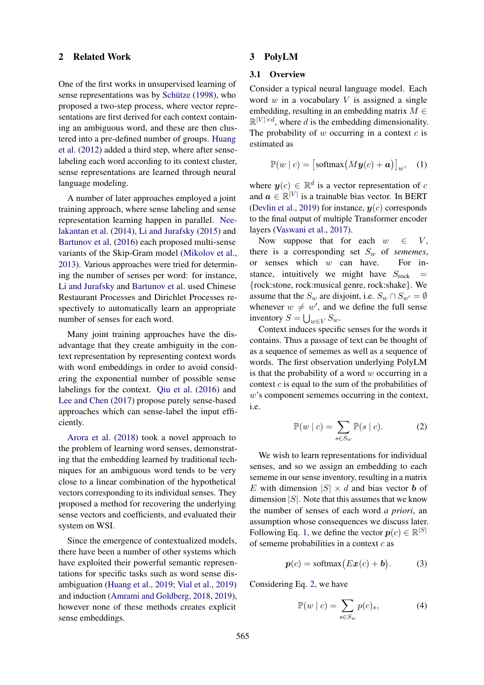### 2 Related Work

One of the first works in unsupervised learning of sense representations was by Schütze  $(1998)$ , who proposed a two-step process, where vector representations are first derived for each context containing an ambiguous word, and these are then clustered into a pre-defined number of groups. [Huang](#page-8-4) [et al.](#page-8-4) [\(2012\)](#page-8-4) added a third step, where after senselabeling each word according to its context cluster, sense representations are learned through neural language modeling.

A number of later approaches employed a joint training approach, where sense labeling and sense representation learning happen in parallel. [Nee](#page-9-1)[lakantan et al.](#page-9-1) [\(2014\)](#page-9-1), [Li and Jurafsky](#page-9-9) [\(2015\)](#page-9-9) and [Bartunov et al.](#page-8-1) [\(2016\)](#page-8-1) each proposed multi-sense variants of the Skip-Gram model [\(Mikolov et al.,](#page-9-10) [2013\)](#page-9-10). Various approaches were tried for determining the number of senses per word: for instance, [Li and Jurafsky](#page-9-9) and [Bartunov et al.](#page-8-1) used Chinese Restaurant Processes and Dirichlet Processes respectively to automatically learn an appropriate number of senses for each word.

Many joint training approaches have the disadvantage that they create ambiguity in the context representation by representing context words with word embeddings in order to avoid considering the exponential number of possible sense labelings for the context. [Qiu et al.](#page-9-11) [\(2016\)](#page-9-11) and [Lee and Chen](#page-9-12) [\(2017\)](#page-9-12) propose purely sense-based approaches which can sense-label the input efficiently.

[Arora et al.](#page-8-5) [\(2018\)](#page-8-5) took a novel approach to the problem of learning word senses, demonstrating that the embedding learned by traditional techniques for an ambiguous word tends to be very close to a linear combination of the hypothetical vectors corresponding to its individual senses. They proposed a method for recovering the underlying sense vectors and coefficients, and evaluated their system on WSI.

Since the emergence of contextualized models, there have been a number of other systems which have exploited their powerful semantic representations for specific tasks such as word sense disambiguation [\(Huang et al.,](#page-8-6) [2019;](#page-8-6) [Vial et al.,](#page-9-13) [2019\)](#page-9-13) and induction [\(Amrami and Goldberg,](#page-8-7) [2018,](#page-8-7) [2019\)](#page-8-8), however none of these methods creates explicit sense embeddings.

### 3 PolyLM

## 3.1 Overview

Consider a typical neural language model. Each word  $w$  in a vocabulary  $V$  is assigned a single embedding, resulting in an embedding matrix  $M \in$  $\mathbb{R}^{|V| \times d}$ , where d is the embedding dimensionality. The probability of  $w$  occurring in a context  $c$  is estimated as

<span id="page-2-0"></span>
$$
\mathbb{P}(w \mid c) = \left[ \text{softmax}\left(M\mathbf{y}(c) + \mathbf{a}\right) \right]_{w}, \quad (1)
$$

where  $y(c) \in \mathbb{R}^d$  is a vector representation of c and  $\mathbf{a} \in \mathbb{R}^{|V|}$  is a trainable bias vector. In BERT [\(Devlin et al.,](#page-8-3) [2019\)](#page-8-3) for instance,  $y(c)$  corresponds to the final output of multiple Transformer encoder layers [\(Vaswani et al.,](#page-9-14) [2017\)](#page-9-14).

Now suppose that for each  $w \in V$ , there is a corresponding set  $S_w$  of *sememes*, or senses which w can have. For instance, intuitively we might have  $S_{\text{rock}}$  = {rock:stone, rock:musical genre, rock:shake}. We assume that the  $S_w$  are disjoint, i.e.  $S_w \cap S_{w'} = \emptyset$ whenever  $w \neq w'$ , and we define the full sense inventory  $S = \bigcup_{w \in V} S_w$ .

Context induces specific senses for the words it contains. Thus a passage of text can be thought of as a sequence of sememes as well as a sequence of words. The first observation underlying PolyLM is that the probability of a word  $w$  occurring in a context  $c$  is equal to the sum of the probabilities of w's component sememes occurring in the context, i.e.

<span id="page-2-1"></span>
$$
\mathbb{P}(w \mid c) = \sum_{s \in S_w} \mathbb{P}(s \mid c). \tag{2}
$$

We wish to learn representations for individual senses, and so we assign an embedding to each sememe in our sense inventory, resulting in a matrix E with dimension  $|S| \times d$  and bias vector **b** of dimension  $|S|$ . Note that this assumes that we know the number of senses of each word *a priori*, an assumption whose consequences we discuss later. Following Eq. [1,](#page-2-0) we define the vector  $p(c) \in \mathbb{R}^{|S|}$ of sememe probabilities in a context  $c$  as

$$
p(c) = \text{softmax}(Ex(c) + b). \tag{3}
$$

Considering Eq. [2,](#page-2-1) we have

<span id="page-2-2"></span>
$$
\mathbb{P}(w \mid c) = \sum_{s \in S_w} p(c)_s,\tag{4}
$$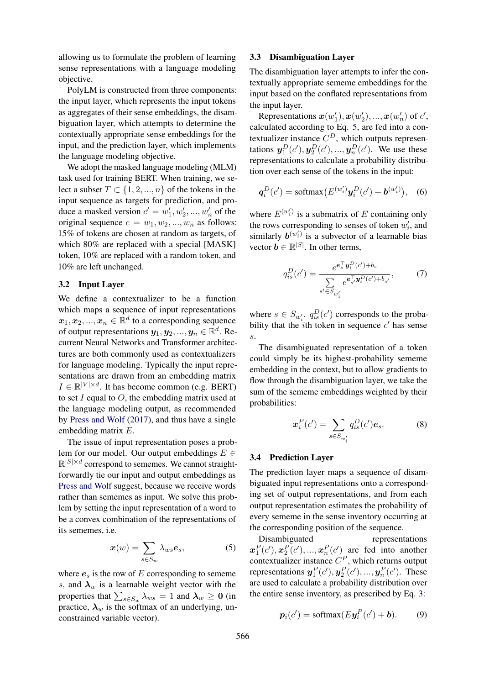allowing us to formulate the problem of learning sense representations with a language modeling objective.

PolyLM is constructed from three components: the input layer, which represents the input tokens as aggregates of their sense embeddings, the disambiguation layer, which attempts to determine the contextually appropriate sense embeddings for the input, and the prediction layer, which implements the language modeling objective.

We adopt the masked language modeling (MLM) task used for training BERT. When training, we select a subset  $T \subset \{1, 2, ..., n\}$  of the tokens in the input sequence as targets for prediction, and produce a masked version  $c' = w'_1, w'_2, ..., w'_n$  of the original sequence  $c = w_1, w_2, ..., w_n$  as follows: 15% of tokens are chosen at random as targets, of which 80% are replaced with a special [MASK] token, 10% are replaced with a random token, and 10% are left unchanged.

#### 3.2 Input Layer

We define a contextualizer to be a function which maps a sequence of input representations  $\boldsymbol{x}_1, \boldsymbol{x}_2, ..., \boldsymbol{x}_n \in \mathbb{R}^d$  to a corresponding sequence of output representations  $y_1, y_2, ..., y_n \in \mathbb{R}^d$ . Recurrent Neural Networks and Transformer architectures are both commonly used as contextualizers for language modeling. Typically the input representations are drawn from an embedding matrix  $I \in \mathbb{R}^{|V| \times d}$ . It has become common (e.g. BERT) to set I equal to  $O$ , the embedding matrix used at the language modeling output, as recommended by [Press and Wolf](#page-9-15) [\(2017\)](#page-9-15), and thus have a single embedding matrix E.

The issue of input representation poses a problem for our model. Our output embeddings  $E \in$  $\mathbb{R}^{|S| \times d}$  correspond to sememes. We cannot straightforwardly tie our input and output embeddings as [Press and Wolf](#page-9-15) suggest, because we receive words rather than sememes as input. We solve this problem by setting the input representation of a word to be a convex combination of the representations of its sememes, i.e.

$$
\boldsymbol{x}(w) = \sum_{s \in S_w} \lambda_{ws} \boldsymbol{e}_s,\tag{5}
$$

where  $e_s$  is the row of  $E$  corresponding to sememe s, and  $\lambda_w$  is a learnable weight vector with the properties that  $\sum_{s\in S_w}\lambda_{ws}=1$  and  $\boldsymbol{\lambda}_w\geq \mathbf{0}$  (in practice,  $\lambda_w$  is the softmax of an underlying, unconstrained variable vector).

## 3.3 Disambiguation Layer

The disambiguation layer attempts to infer the contextually appropriate sememe embeddings for the input based on the conflated representations from the input layer.

Representations  $x(w'_1), x(w'_2), ..., x(w'_n)$  of  $c'$ , calculated according to Eq. [5,](#page-3-0) are fed into a contextualizer instance  $C^D$ , which outputs representations  $y_1^D(c'), y_2^D(c'), ..., y_n^D(c')$ . We use these representations to calculate a probability distribution over each sense of the tokens in the input:

$$
q_i^D(c') = \text{softmax}(E^{(w_i')}y_i^D(c') + \bm{b}^{(w_i')})
$$
, (6)

where  $E^{(w'_i)}$  is a submatrix of E containing only the rows corresponding to senses of token  $w_i'$ , and similarly  $b^{(w'_i)}$  is a subvector of a learnable bias vector  $\mathbf{b} \in \mathbb{R}^{|S|}$ . In other terms,

<span id="page-3-1"></span>
$$
q_{is}^D(c') = \frac{e^{e_s^T} y_i^D(c') + b_s}{\sum_{s' \in S_{w'_i}} e^{e_s^T y_i^D(c') + b_{s'}}},\tag{7}
$$

where  $s \in S_{w'_i}$ .  $q_{is}^D(c')$  corresponds to the probability that the *i*th token in sequence  $c'$  has sense s.

The disambiguated representation of a token could simply be its highest-probability sememe embedding in the context, but to allow gradients to flow through the disambiguation layer, we take the sum of the sememe embeddings weighted by their probabilities:

<span id="page-3-3"></span>
$$
\boldsymbol{x}_i^P(c') = \sum_{s \in S_{w_i'}} q_{is}^D(c') \boldsymbol{e}_s. \tag{8}
$$

#### 3.4 Prediction Layer

The prediction layer maps a sequence of disambiguated input representations onto a corresponding set of output representations, and from each output representation estimates the probability of every sememe in the sense inventory occurring at the corresponding position of the sequence.

<span id="page-3-0"></span>Disambiguated representations  $\mathbf{x}_1^P(c'), \mathbf{x}_2^P(c'), ..., \mathbf{x}_n^P(c')$  are fed into another contextualizer instance  $C^P$ , which returns output representations  $y_1^P(c'), y_2^P(c'), ..., y_n^P(c')$ . These are used to calculate a probability distribution over the entire sense inventory, as prescribed by Eq. [3:](#page-2-2)

<span id="page-3-2"></span>
$$
\boldsymbol{p}_i(c') = \text{softmax}(E\boldsymbol{y}_i^P(c') + \boldsymbol{b}).\tag{9}
$$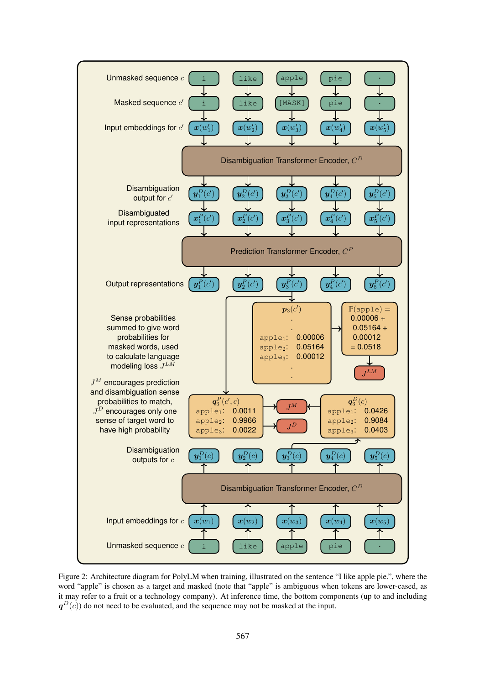<span id="page-4-0"></span>

Figure 2: Architecture diagram for PolyLM when training, illustrated on the sentence "I like apple pie.", where the word "apple" is chosen as a target and masked (note that "apple" is ambiguous when tokens are lower-cased, as it may refer to a fruit or a technology company). At inference time, the bottom components (up to and including  $q^D(c)$ ) do not need to be evaluated, and the sequence may not be masked at the input.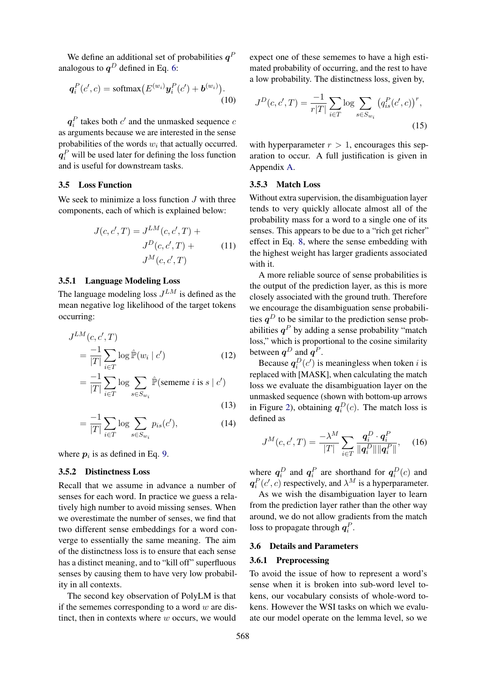We define an additional set of probabilities  $q^F$ analogous to  $q^D$  defined in Eq. [6:](#page-3-1)

$$
\boldsymbol{q}_i^P(c',c) = \text{softmax}\big(E^{(w_i)}\boldsymbol{y}_i^P(c') + \boldsymbol{b}^{(w_i)}\big). \tag{10}
$$

 $q_i^P$  takes both  $c'$  and the unmasked sequence  $c$ as arguments because we are interested in the sense probabilities of the words  $w_i$  that actually occurred.  $q_i^P$  will be used later for defining the loss function and is useful for downstream tasks.

## 3.5 Loss Function

We seek to minimize a loss function  $J$  with three components, each of which is explained below:

$$
J(c, c', T) = J^{LM}(c, c', T) +
$$
  

$$
J^{D}(c, c', T) +
$$
  

$$
J^{M}(c, c', T)
$$
 (11)

### 3.5.1 Language Modeling Loss

The language modeling loss  $J^{LM}$  is defined as the mean negative log likelihood of the target tokens occurring:

$$
J^{LM}(c, c', T)
$$
  
= 
$$
\frac{-1}{|T|} \sum_{i \in T} \log \hat{\mathbb{P}}(w_i | c')
$$
 (12)

$$
= \frac{-1}{|T|} \sum_{i \in T} \log \sum_{s \in S_{w_i}} \hat{\mathbb{P}}(\text{sememe } i \text{ is } s \mid c')
$$
\n(13)

$$
=\frac{-1}{|T|}\sum_{i\in T}\log\sum_{s\in S_{w_i}}p_{is}(c'),\tag{14}
$$

where  $p_i$  is as defined in Eq. [9.](#page-3-2)

#### 3.5.2 Distinctness Loss

Recall that we assume in advance a number of senses for each word. In practice we guess a relatively high number to avoid missing senses. When we overestimate the number of senses, we find that two different sense embeddings for a word converge to essentially the same meaning. The aim of the distinctness loss is to ensure that each sense has a distinct meaning, and to "kill off" superfluous senses by causing them to have very low probability in all contexts.

The second key observation of PolyLM is that if the sememes corresponding to a word  $w$  are distinct, then in contexts where  $w$  occurs, we would expect one of these sememes to have a high estimated probability of occurring, and the rest to have a low probability. The distinctness loss, given by,

$$
J^{D}(c, c', T) = \frac{-1}{r|T|} \sum_{i \in T} \log \sum_{s \in S_{w_i}} (q_{is}^{P}(c', c))^{r},
$$
\n(15)

with hyperparameter  $r > 1$ , encourages this separation to occur. A full justification is given in Appendix [A.](#page-10-1)

#### 3.5.3 Match Loss

Without extra supervision, the disambiguation layer tends to very quickly allocate almost all of the probability mass for a word to a single one of its senses. This appears to be due to a "rich get richer" effect in Eq. [8,](#page-3-3) where the sense embedding with the highest weight has larger gradients associated with it.

A more reliable source of sense probabilities is the output of the prediction layer, as this is more closely associated with the ground truth. Therefore we encourage the disambiguation sense probabilities  $q^D$  to be similar to the prediction sense probabilities  $q^P$  by adding a sense probability "match loss," which is proportional to the cosine similarity between  $q^D$  and  $q^P$ .

Because  $q_i^D(c')$  is meaningless when token *i* is replaced with [MASK], when calculating the match loss we evaluate the disambiguation layer on the unmasked sequence (shown with bottom-up arrows in Figure [2\)](#page-4-0), obtaining  $q_i^D(c)$ . The match loss is defined as

$$
J^{M}(c, c', T) = \frac{-\lambda^{M}}{|T|} \sum_{i \in T} \frac{q_{i}^{D} \cdot q_{i}^{P}}{\|q_{i}^{D}\| \|q_{i}^{P}\|}, \quad (16)
$$

where  $q_i^D$  and  $q_i^P$  are shorthand for  $q_i^D(c)$  and  $q_i^P(c', c)$  respectively, and  $\lambda^M$  is a hyperparameter.

As we wish the disambiguation layer to learn from the prediction layer rather than the other way around, we do not allow gradients from the match loss to propagate through  $q_i^P$ .

### 3.6 Details and Parameters

#### 3.6.1 Preprocessing

To avoid the issue of how to represent a word's sense when it is broken into sub-word level tokens, our vocabulary consists of whole-word tokens. However the WSI tasks on which we evaluate our model operate on the lemma level, so we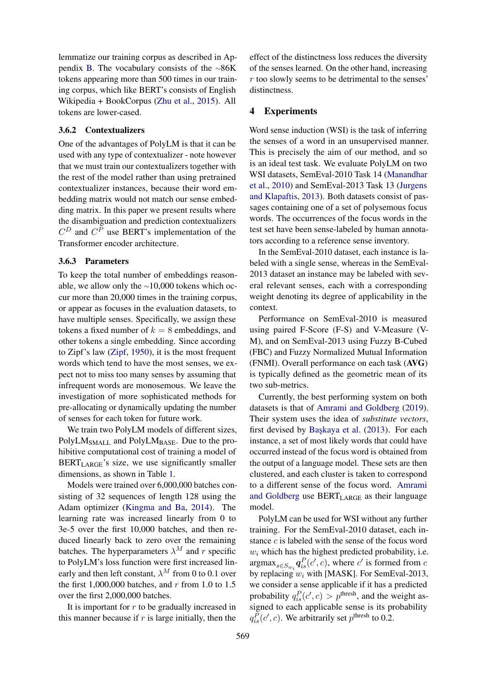lemmatize our training corpus as described in Appendix [B.](#page-11-0) The vocabulary consists of the ∼86K tokens appearing more than 500 times in our training corpus, which like BERT's consists of English Wikipedia + BookCorpus [\(Zhu et al.,](#page-10-2) [2015\)](#page-10-2). All tokens are lower-cased.

## 3.6.2 Contextualizers

One of the advantages of PolyLM is that it can be used with any type of contextualizer - note however that we must train our contextualizers together with the rest of the model rather than using pretrained contextualizer instances, because their word embedding matrix would not match our sense embedding matrix. In this paper we present results where the disambiguation and prediction contextualizers  $C^D$  and  $C^P$  use BERT's implementation of the Transformer encoder architecture.

### 3.6.3 Parameters

To keep the total number of embeddings reasonable, we allow only the ∼10,000 tokens which occur more than 20,000 times in the training corpus, or appear as focuses in the evaluation datasets, to have multiple senses. Specifically, we assign these tokens a fixed number of  $k = 8$  embeddings, and other tokens a single embedding. Since according to Zipf's law [\(Zipf,](#page-10-3) [1950\)](#page-10-3), it is the most frequent words which tend to have the most senses, we expect not to miss too many senses by assuming that infrequent words are monosemous. We leave the investigation of more sophisticated methods for pre-allocating or dynamically updating the number of senses for each token for future work.

We train two PolyLM models of different sizes, PolyLM<sub>SMALL</sub> and PolyLM<sub>BASE</sub>. Due to the prohibitive computational cost of training a model of  $BERT<sub>LARGE</sub>'s size, we use significantly smaller$ dimensions, as shown in Table [1.](#page-7-0)

Models were trained over 6,000,000 batches consisting of 32 sequences of length 128 using the Adam optimizer [\(Kingma and Ba,](#page-8-9) [2014\)](#page-8-9). The learning rate was increased linearly from 0 to 3e-5 over the first 10,000 batches, and then reduced linearly back to zero over the remaining batches. The hyperparameters  $\lambda^M$  and r specific to PolyLM's loss function were first increased linearly and then left constant,  $\lambda^M$  from 0 to 0.1 over the first 1,000,000 batches, and  $r$  from 1.0 to 1.5 over the first 2,000,000 batches.

It is important for  $r$  to be gradually increased in this manner because if  $r$  is large initially, then the effect of the distinctness loss reduces the diversity of the senses learned. On the other hand, increasing  $r$  too slowly seems to be detrimental to the senses' distinctness.

### 4 Experiments

Word sense induction (WSI) is the task of inferring the senses of a word in an unsupervised manner. This is precisely the aim of our method, and so is an ideal test task. We evaluate PolyLM on two WSI datasets, SemEval-2010 Task 14 [\(Manandhar](#page-9-16) [et al.,](#page-9-16) [2010\)](#page-9-16) and SemEval-2013 Task 13 [\(Jurgens](#page-8-10) [and Klapaftis,](#page-8-10) [2013\)](#page-8-10). Both datasets consist of passages containing one of a set of polysemous focus words. The occurrences of the focus words in the test set have been sense-labeled by human annotators according to a reference sense inventory.

In the SemEval-2010 dataset, each instance is labeled with a single sense, whereas in the SemEval-2013 dataset an instance may be labeled with several relevant senses, each with a corresponding weight denoting its degree of applicability in the context.

Performance on SemEval-2010 is measured using paired F-Score (F-S) and V-Measure (V-M), and on SemEval-2013 using Fuzzy B-Cubed (FBC) and Fuzzy Normalized Mutual Information (FNMI). Overall performance on each task (AVG) is typically defined as the geometric mean of its two sub-metrics.

Currently, the best performing system on both datasets is that of [Amrami and Goldberg](#page-8-8) [\(2019\)](#page-8-8). Their system uses the idea of *substitute vectors*, first devised by Başkaya et al. [\(2013\)](#page-8-11). For each instance, a set of most likely words that could have occurred instead of the focus word is obtained from the output of a language model. These sets are then clustered, and each cluster is taken to correspond to a different sense of the focus word. [Amrami](#page-8-8) [and Goldberg](#page-8-8) use  $BERT_{LARGE}$  as their language model.

PolyLM can be used for WSI without any further training. For the SemEval-2010 dataset, each instance c is labeled with the sense of the focus word  $w_i$  which has the highest predicted probability, i.e.  $\arg \max_{s \in S_{w_i}} q_{is}^P(c', c)$ , where c' is formed from c by replacing  $w_i$  with [MASK]. For SemEval-2013, we consider a sense applicable if it has a predicted probability  $q_{is}^P(c', c) > p^{\text{thresh}}$ , and the weight assigned to each applicable sense is its probability  $q_{is}^P(c', c)$ . We arbitrarily set  $p^{\text{thresh}}$  to 0.2.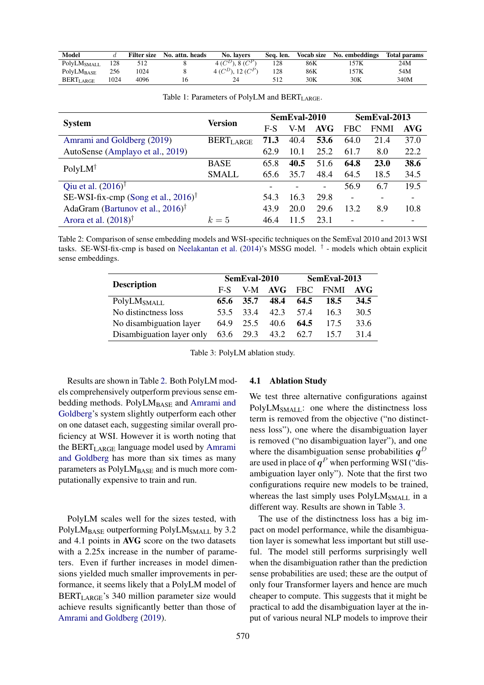<span id="page-7-0"></span>

| <b>Model</b>            |      | <b>Filter size</b> | No. attn. heads | No. lavers                | Sea. len. | <b>Vocab size</b> | No. embeddings | <b>Total params</b> |
|-------------------------|------|--------------------|-----------------|---------------------------|-----------|-------------------|----------------|---------------------|
| PolyLM <sub>SMALL</sub> | 128  |                    |                 | 4 ( $C^D$ ), 8 ( $C^P$ )  |           | 86K               |                | 24M                 |
| $PolyLM_{BASE}$         | 256  | 1024               |                 | 4 ( $C^D$ ), 12 ( $C^P$ ) | 128       | 86K               | 157K           | 54M                 |
| BERT <sub>LARGE</sub>   | 1024 | 4096               |                 |                           | 512       | 30K               | 30K            | 340M                |

<span id="page-7-1"></span>

|                                                    | Version                     | SemEval-2010 |      |            | SemEval-2013   |             |            |
|----------------------------------------------------|-----------------------------|--------------|------|------------|----------------|-------------|------------|
| <b>System</b>                                      |                             | $F-S$        | V-M  | <b>AVG</b> | FBC            | <b>FNMI</b> | <b>AVG</b> |
| Amrami and Goldberg (2019)                         | <b>BERT<sub>LARGE</sub></b> | 71.3         | 40.4 | 53.6       | 64.0           | 21.4        | 37.0       |
| AutoSense (Amplayo et al., 2019)                   |                             | 62.9         | 10.1 | 25.2       | 61.7           | 8.0         | 22.2       |
| $PolyLM^{\dagger}$                                 | <b>BASE</b>                 | 65.8         | 40.5 | 51.6       | 64.8           | <b>23.0</b> | 38.6       |
|                                                    | <b>SMALL</b>                | 65.6         | 35.7 | 48.4       | 64.5           | 18.5        | 34.5       |
| Qiu et al. $(2016)$ <sup>†</sup>                   |                             |              |      |            | 56.9           | 6.7         | 19.5       |
| SE-WSI-fix-cmp (Song et al., $2016$ ) <sup>†</sup> |                             | 54.3         | 16.3 | 29.8       | $\blacksquare$ |             |            |
| AdaGram (Bartunov et al., $2016$ ) <sup>†</sup>    |                             | 43.9         | 20.0 | 29.6       | 13.2           | 8.9         | 10.8       |
| Arora et al. $(2018)$ <sup>†</sup>                 | $k=5$                       | 46.4         | 11.5 | 23.1       |                |             |            |

Table 1: Parameters of PolyLM and BERT<sub>LARGE</sub>.

<span id="page-7-2"></span>Table 2: Comparison of sense embedding models and WSI-specific techniques on the SemEval 2010 and 2013 WSI tasks. SE-WSI-fix-cmp is based on [Neelakantan et al.](#page-9-1) [\(2014\)](#page-9-1)'s MSSG model. † - models which obtain explicit sense embeddings.

|                           |       | SemEval-2010 |                    | SemEval-2013 |      |      |  |
|---------------------------|-------|--------------|--------------------|--------------|------|------|--|
| <b>Description</b>        | $F-S$ |              | V-M <b>AVG</b> FBC |              | FNMI | AVG  |  |
| PolyLM <sub>SMALL</sub>   | 65.6  | 35.7         | 48.4               | 64.5         | 18.5 | 34.5 |  |
| No distinctness loss      | 53.5  | 334          | 42.3               | 57.4         | 163  | 30.5 |  |
| No disambiguation layer   | 64.9  | 25.5         | 40.6               | 64.5         | 17.5 | 33.6 |  |
| Disambiguation layer only |       | 63.6 29.3    | 43.2               | 62.7         | 15.7 | 314  |  |

Table 3: PolyLM ablation study.

Results are shown in Table [2.](#page-7-1) Both PolyLM models comprehensively outperform previous sense em-bedding methods. PolyLMBASE and [Amrami and](#page-8-8) [Goldberg'](#page-8-8)s system slightly outperform each other on one dataset each, suggesting similar overall proficiency at WSI. However it is worth noting that the BERT<sub>LARGE</sub> language model used by [Amrami](#page-8-8) [and Goldberg](#page-8-8) has more than six times as many parameters as  $PolyLM<sub>BASE</sub>$  and is much more computationally expensive to train and run.

PolyLM scales well for the sizes tested, with PolyLM<sub>BASE</sub> outperforming PolyLM<sub>SMALL</sub> by 3.2 and 4.1 points in AVG score on the two datasets with a 2.25x increase in the number of parameters. Even if further increases in model dimensions yielded much smaller improvements in performance, it seems likely that a PolyLM model of BERTLARGE's 340 million parameter size would achieve results significantly better than those of [Amrami and Goldberg](#page-8-8) [\(2019\)](#page-8-8).

#### 4.1 Ablation Study

We test three alternative configurations against  $PolyLM<sub>SMAIL</sub>:$  one where the distinctness loss term is removed from the objective ("no distinctness loss"), one where the disambiguation layer is removed ("no disambiguation layer"), and one where the disambiguation sense probabilities  $q^D$ are used in place of  $q^P$  when performing WSI ("disambiguation layer only"). Note that the first two configurations require new models to be trained, whereas the last simply uses  $PolyLM<sub>SMAIL</sub>$  in a different way. Results are shown in Table [3.](#page-7-2)

The use of the distinctness loss has a big impact on model performance, while the disambiguation layer is somewhat less important but still useful. The model still performs surprisingly well when the disambiguation rather than the prediction sense probabilities are used; these are the output of only four Transformer layers and hence are much cheaper to compute. This suggests that it might be practical to add the disambiguation layer at the input of various neural NLP models to improve their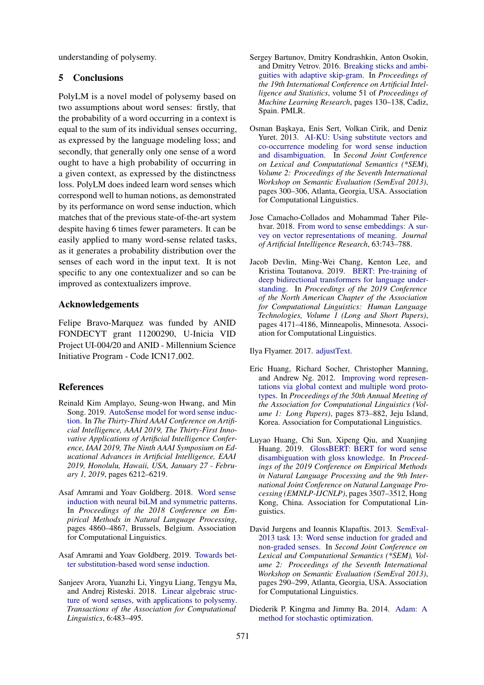understanding of polysemy.

## 5 Conclusions

PolyLM is a novel model of polysemy based on two assumptions about word senses: firstly, that the probability of a word occurring in a context is equal to the sum of its individual senses occurring, as expressed by the language modeling loss; and secondly, that generally only one sense of a word ought to have a high probability of occurring in a given context, as expressed by the distinctness loss. PolyLM does indeed learn word senses which correspond well to human notions, as demonstrated by its performance on word sense induction, which matches that of the previous state-of-the-art system despite having 6 times fewer parameters. It can be easily applied to many word-sense related tasks, as it generates a probability distribution over the senses of each word in the input text. It is not specific to any one contextualizer and so can be improved as contextualizers improve.

## Acknowledgements

Felipe Bravo-Marquez was funded by ANID FONDECYT grant 11200290, U-Inicia VID Project UI-004/20 and ANID - Millennium Science Initiative Program - Code ICN17<sub>-002</sub>.

## References

- <span id="page-8-12"></span>Reinald Kim Amplayo, Seung-won Hwang, and Min Song. 2019. [AutoSense model for word sense induc](https://doi.org/10.1609/aaai.v33i01.33016212)[tion.](https://doi.org/10.1609/aaai.v33i01.33016212) In *The Thirty-Third AAAI Conference on Artificial Intelligence, AAAI 2019, The Thirty-First Innovative Applications of Artificial Intelligence Conference, IAAI 2019, The Ninth AAAI Symposium on Educational Advances in Artificial Intelligence, EAAI 2019, Honolulu, Hawaii, USA, January 27 - February 1, 2019*, pages 6212–6219.
- <span id="page-8-7"></span>Asaf Amrami and Yoav Goldberg. 2018. [Word sense](https://doi.org/10.18653/v1/D18-1523) [induction with neural biLM and symmetric patterns.](https://doi.org/10.18653/v1/D18-1523) In *Proceedings of the 2018 Conference on Empirical Methods in Natural Language Processing*, pages 4860–4867, Brussels, Belgium. Association for Computational Linguistics.
- <span id="page-8-8"></span>Asaf Amrami and Yoav Goldberg. 2019. [Towards bet](https://arxiv.org/abs/1905.12598v2)[ter substitution-based word sense induction.](https://arxiv.org/abs/1905.12598v2)
- <span id="page-8-5"></span>Sanjeev Arora, Yuanzhi Li, Yingyu Liang, Tengyu Ma, and Andrej Risteski. 2018. [Linear algebraic struc](https://doi.org/10.1162/tacl_a_00034)[ture of word senses, with applications to polysemy.](https://doi.org/10.1162/tacl_a_00034) *Transactions of the Association for Computational Linguistics*, 6:483–495.
- <span id="page-8-1"></span>Sergey Bartunov, Dmitry Kondrashkin, Anton Osokin, and Dmitry Vetrov. 2016. [Breaking sticks and ambi](http://proceedings.mlr.press/v51/bartunov16.html)[guities with adaptive skip-gram.](http://proceedings.mlr.press/v51/bartunov16.html) In *Proceedings of the 19th International Conference on Artificial Intelligence and Statistics*, volume 51 of *Proceedings of Machine Learning Research*, pages 130–138, Cadiz, Spain. PMLR.
- <span id="page-8-11"></span>Osman Başkaya, Enis Sert, Volkan Cirik, and Deniz Yuret. 2013. [AI-KU: Using substitute vectors and](https://www.aclweb.org/anthology/S13-2050) [co-occurrence modeling for word sense induction](https://www.aclweb.org/anthology/S13-2050) [and disambiguation.](https://www.aclweb.org/anthology/S13-2050) In *Second Joint Conference on Lexical and Computational Semantics (\*SEM), Volume 2: Proceedings of the Seventh International Workshop on Semantic Evaluation (SemEval 2013)*, pages 300–306, Atlanta, Georgia, USA. Association for Computational Linguistics.
- <span id="page-8-0"></span>Jose Camacho-Collados and Mohammad Taher Pilehvar. 2018. [From word to sense embeddings: A sur](https://doi.org/10.1613/jair.1.11259)[vey on vector representations of meaning.](https://doi.org/10.1613/jair.1.11259) *Journal of Artificial Intelligence Research*, 63:743–788.
- <span id="page-8-3"></span>Jacob Devlin, Ming-Wei Chang, Kenton Lee, and Kristina Toutanova. 2019. [BERT: Pre-training of](https://doi.org/10.18653/v1/N19-1423) [deep bidirectional transformers for language under](https://doi.org/10.18653/v1/N19-1423)[standing.](https://doi.org/10.18653/v1/N19-1423) In *Proceedings of the 2019 Conference of the North American Chapter of the Association for Computational Linguistics: Human Language Technologies, Volume 1 (Long and Short Papers)*, pages 4171–4186, Minneapolis, Minnesota. Association for Computational Linguistics.

<span id="page-8-2"></span>Ilya Flyamer. 2017. [adjustText.](https://doi.org/10.5281/zenodo.1494343)

- <span id="page-8-4"></span>Eric Huang, Richard Socher, Christopher Manning, and Andrew Ng. 2012. [Improving word represen](https://www.aclweb.org/anthology/P12-1092)[tations via global context and multiple word proto](https://www.aclweb.org/anthology/P12-1092)[types.](https://www.aclweb.org/anthology/P12-1092) In *Proceedings of the 50th Annual Meeting of the Association for Computational Linguistics (Volume 1: Long Papers)*, pages 873–882, Jeju Island, Korea. Association for Computational Linguistics.
- <span id="page-8-6"></span>Luyao Huang, Chi Sun, Xipeng Qiu, and Xuanjing Huang. 2019. [GlossBERT: BERT for word sense](https://doi.org/10.18653/v1/D19-1355) [disambiguation with gloss knowledge.](https://doi.org/10.18653/v1/D19-1355) In *Proceedings of the 2019 Conference on Empirical Methods in Natural Language Processing and the 9th International Joint Conference on Natural Language Processing (EMNLP-IJCNLP)*, pages 3507–3512, Hong Kong, China. Association for Computational Linguistics.
- <span id="page-8-10"></span>David Jurgens and Ioannis Klapaftis. 2013. [SemEval-](https://www.aclweb.org/anthology/S13-2049)[2013 task 13: Word sense induction for graded and](https://www.aclweb.org/anthology/S13-2049) [non-graded senses.](https://www.aclweb.org/anthology/S13-2049) In *Second Joint Conference on Lexical and Computational Semantics (\*SEM), Volume 2: Proceedings of the Seventh International Workshop on Semantic Evaluation (SemEval 2013)*, pages 290–299, Atlanta, Georgia, USA. Association for Computational Linguistics.
- <span id="page-8-9"></span>Diederik P. Kingma and Jimmy Ba. 2014. [Adam: A](http://arxiv.org/abs/1412.6980) [method for stochastic optimization.](http://arxiv.org/abs/1412.6980)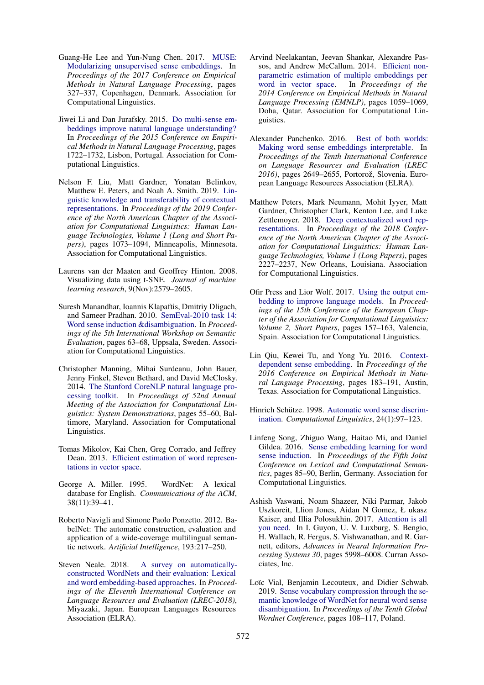- <span id="page-9-12"></span>Guang-He Lee and Yun-Nung Chen. 2017. [MUSE:](https://doi.org/10.18653/v1/D17-1034) [Modularizing unsupervised sense embeddings.](https://doi.org/10.18653/v1/D17-1034) In *Proceedings of the 2017 Conference on Empirical Methods in Natural Language Processing*, pages 327–337, Copenhagen, Denmark. Association for Computational Linguistics.
- <span id="page-9-9"></span>Jiwei Li and Dan Jurafsky. 2015. [Do multi-sense em](https://doi.org/10.18653/v1/D15-1200)[beddings improve natural language understanding?](https://doi.org/10.18653/v1/D15-1200) In *Proceedings of the 2015 Conference on Empirical Methods in Natural Language Processing*, pages 1722–1732, Lisbon, Portugal. Association for Computational Linguistics.
- <span id="page-9-8"></span>Nelson F. Liu, Matt Gardner, Yonatan Belinkov, Matthew E. Peters, and Noah A. Smith. 2019. [Lin](https://doi.org/10.18653/v1/N19-1112)[guistic knowledge and transferability of contextual](https://doi.org/10.18653/v1/N19-1112) [representations.](https://doi.org/10.18653/v1/N19-1112) In *Proceedings of the 2019 Conference of the North American Chapter of the Association for Computational Linguistics: Human Language Technologies, Volume 1 (Long and Short Papers)*, pages 1073–1094, Minneapolis, Minnesota. Association for Computational Linguistics.
- <span id="page-9-6"></span>Laurens van der Maaten and Geoffrey Hinton. 2008. Visualizing data using t-SNE. *Journal of machine learning research*, 9(Nov):2579–2605.
- <span id="page-9-16"></span>Suresh Manandhar, Ioannis Klapaftis, Dmitriy Dligach, and Sameer Pradhan. 2010. [SemEval-2010 task 14:](https://www.aclweb.org/anthology/S10-1011) [Word sense induction &disambiguation.](https://www.aclweb.org/anthology/S10-1011) In *Proceedings of the 5th International Workshop on Semantic Evaluation*, pages 63–68, Uppsala, Sweden. Association for Computational Linguistics.
- <span id="page-9-18"></span>Christopher Manning, Mihai Surdeanu, John Bauer, Jenny Finkel, Steven Bethard, and David McClosky. 2014. [The Stanford CoreNLP natural language pro](https://doi.org/10.3115/v1/P14-5010)[cessing toolkit.](https://doi.org/10.3115/v1/P14-5010) In *Proceedings of 52nd Annual Meeting of the Association for Computational Linguistics: System Demonstrations*, pages 55–60, Baltimore, Maryland. Association for Computational Linguistics.
- <span id="page-9-10"></span>Tomas Mikolov, Kai Chen, Greg Corrado, and Jeffrey Dean. 2013. [Efficient estimation of word represen](http://arxiv.org/abs/1301.3781)[tations in vector space.](http://arxiv.org/abs/1301.3781)
- <span id="page-9-3"></span>George A. Miller. 1995. WordNet: A lexical database for English. *Communications of the ACM*, 38(11):39–41.
- <span id="page-9-5"></span>Roberto Navigli and Simone Paolo Ponzetto. 2012. BabelNet: The automatic construction, evaluation and application of a wide-coverage multilingual semantic network. *Artificial Intelligence*, 193:217–250.
- <span id="page-9-2"></span>Steven Neale. 2018. [A survey on automatically](https://www.aclweb.org/anthology/L18-1270)[constructed WordNets and their evaluation: Lexical](https://www.aclweb.org/anthology/L18-1270) [and word embedding-based approaches.](https://www.aclweb.org/anthology/L18-1270) In *Proceedings of the Eleventh International Conference on Language Resources and Evaluation (LREC-2018)*, Miyazaki, Japan. European Languages Resources Association (ELRA).
- <span id="page-9-1"></span>Arvind Neelakantan, Jeevan Shankar, Alexandre Passos, and Andrew McCallum. 2014. [Efficient non](https://doi.org/10.3115/v1/D14-1113)[parametric estimation of multiple embeddings per](https://doi.org/10.3115/v1/D14-1113) [word in vector space.](https://doi.org/10.3115/v1/D14-1113) In *Proceedings of the 2014 Conference on Empirical Methods in Natural Language Processing (EMNLP)*, pages 1059–1069, Doha, Qatar. Association for Computational Linguistics.
- <span id="page-9-4"></span>Alexander Panchenko. 2016. [Best of both worlds:](https://www.aclweb.org/anthology/L16-1421) [Making word sense embeddings interpretable.](https://www.aclweb.org/anthology/L16-1421) In *Proceedings of the Tenth International Conference on Language Resources and Evaluation (LREC* 2016), pages 2649–2655, Portorož, Slovenia. European Language Resources Association (ELRA).
- <span id="page-9-7"></span>Matthew Peters, Mark Neumann, Mohit Iyyer, Matt Gardner, Christopher Clark, Kenton Lee, and Luke Zettlemoyer. 2018. [Deep contextualized word rep](https://doi.org/10.18653/v1/N18-1202)[resentations.](https://doi.org/10.18653/v1/N18-1202) In *Proceedings of the 2018 Conference of the North American Chapter of the Association for Computational Linguistics: Human Language Technologies, Volume 1 (Long Papers)*, pages 2227–2237, New Orleans, Louisiana. Association for Computational Linguistics.
- <span id="page-9-15"></span>Ofir Press and Lior Wolf. 2017. [Using the output em](https://www.aclweb.org/anthology/E17-2025)[bedding to improve language models.](https://www.aclweb.org/anthology/E17-2025) In *Proceedings of the 15th Conference of the European Chapter of the Association for Computational Linguistics: Volume 2, Short Papers*, pages 157–163, Valencia, Spain. Association for Computational Linguistics.
- <span id="page-9-11"></span>Lin Qiu, Kewei Tu, and Yong Yu. 2016. [Context](https://doi.org/10.18653/v1/D16-1018)[dependent sense embedding.](https://doi.org/10.18653/v1/D16-1018) In *Proceedings of the 2016 Conference on Empirical Methods in Natural Language Processing*, pages 183–191, Austin, Texas. Association for Computational Linguistics.
- <span id="page-9-0"></span>Hinrich Schütze. 1998. [Automatic word sense discrim](https://www.aclweb.org/anthology/J98-1004)[ination.](https://www.aclweb.org/anthology/J98-1004) *Computational Linguistics*, 24(1):97–123.
- <span id="page-9-17"></span>Linfeng Song, Zhiguo Wang, Haitao Mi, and Daniel Gildea. 2016. [Sense embedding learning for word](https://doi.org/10.18653/v1/S16-2009) [sense induction.](https://doi.org/10.18653/v1/S16-2009) In *Proceedings of the Fifth Joint Conference on Lexical and Computational Semantics*, pages 85–90, Berlin, Germany. Association for Computational Linguistics.
- <span id="page-9-14"></span>Ashish Vaswani, Noam Shazeer, Niki Parmar, Jakob Uszkoreit, Llion Jones, Aidan N Gomez, Ł ukasz Kaiser, and Illia Polosukhin. 2017. [Attention is all](http://papers.nips.cc/paper/7181-attention-is-all-you-need.pdf) [you need.](http://papers.nips.cc/paper/7181-attention-is-all-you-need.pdf) In I. Guyon, U. V. Luxburg, S. Bengio, H. Wallach, R. Fergus, S. Vishwanathan, and R. Garnett, editors, *Advances in Neural Information Processing Systems 30*, pages 5998–6008. Curran Associates, Inc.
- <span id="page-9-13"></span>Loïc Vial, Benjamin Lecouteux, and Didier Schwab. 2019. [Sense vocabulary compression through the se](http://hdl.handle.net/11321/718)[mantic knowledge of WordNet for neural word sense](http://hdl.handle.net/11321/718) [disambiguation.](http://hdl.handle.net/11321/718) In *Proceedings of the Tenth Global Wordnet Conference*, pages 108–117, Poland.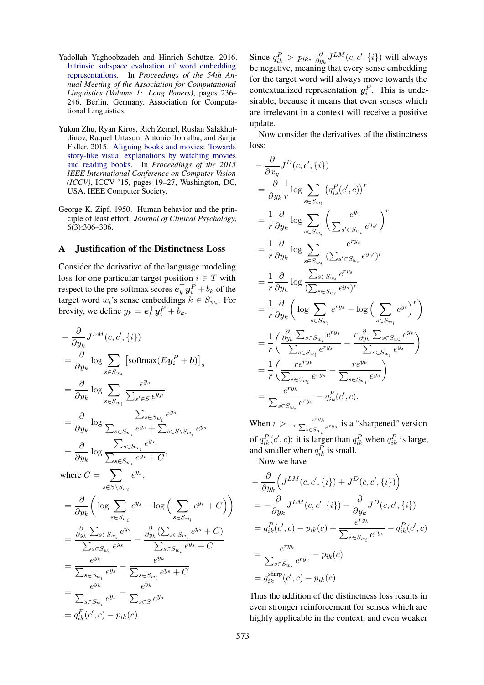- <span id="page-10-0"></span>Yadollah Yaghoobzadeh and Hinrich Schütze. 2016. [Intrinsic subspace evaluation of word embedding](https://doi.org/10.18653/v1/P16-1023) [representations.](https://doi.org/10.18653/v1/P16-1023) In *Proceedings of the 54th Annual Meeting of the Association for Computational Linguistics (Volume 1: Long Papers)*, pages 236– 246, Berlin, Germany. Association for Computational Linguistics.
- <span id="page-10-2"></span>Yukun Zhu, Ryan Kiros, Rich Zemel, Ruslan Salakhutdinov, Raquel Urtasun, Antonio Torralba, and Sanja Fidler. 2015. [Aligning books and movies: Towards](https://doi.org/10.1109/ICCV.2015.11) [story-like visual explanations by watching movies](https://doi.org/10.1109/ICCV.2015.11) [and reading books.](https://doi.org/10.1109/ICCV.2015.11) In *Proceedings of the 2015 IEEE International Conference on Computer Vision (ICCV)*, ICCV '15, pages 19–27, Washington, DC, USA. IEEE Computer Society.
- <span id="page-10-3"></span>George K. Zipf. 1950. Human behavior and the principle of least effort. *Journal of Clinical Psychology*, 6(3):306–306.

### <span id="page-10-1"></span>A Justification of the Distinctness Loss

Consider the derivative of the language modeling loss for one particular target position  $i \in T$  with respect to the pre-softmax scores  $\boldsymbol{e}_k^\top \boldsymbol{y}_i^P + b_k$  of the target word  $w_i$ 's sense embeddings  $k \in S_{w_i}$ . For brevity, we define  $y_k = \boldsymbol{e}_k^{\top} \boldsymbol{y}_i^P + b_k$ .

$$
-\frac{\partial}{\partial y_k} J^{LM}(c, c', \{i\})
$$
  
\n
$$
=\frac{\partial}{\partial y_k} \log \sum_{s \in S_{w_i}} \left[ \text{softmax}(E\mathbf{y}_i^P + \mathbf{b}) \right]_s
$$
  
\n
$$
=\frac{\partial}{\partial y_k} \log \sum_{s \in S_{w_i}} \frac{e^{y_s}}{\sum_{s' \in S} e^{y_{s'}}}
$$
  
\n
$$
=\frac{\partial}{\partial y_k} \log \frac{\sum_{s \in S_{w_i}} e^{y_s}}{\sum_{s \in S_{w_i}} e^{y_s} + \sum_{s \in S \setminus S_{w_i}} e^{y_s}}
$$
  
\n
$$
=\frac{\partial}{\partial y_k} \log \frac{\sum_{s \in S_{w_i}} e^{y_s}}{\sum_{s \in S_{w_i}} e^{y_s} + C},
$$
  
\nwhere  $C = \sum_{s \in S \setminus S_{w_i}} e^{y_s}$ ,  
\n
$$
=\frac{\partial}{\partial y_k} \left( \log \sum_{s \in S_{w_i}} e^{y_s} - \log \left( \sum_{s \in S_{w_i}} e^{y_s} + C \right) \right)
$$
  
\n
$$
=\frac{\frac{\partial}{\partial y_k} \sum_{s \in S_{w_i}} e^{y_s}}{\sum_{s \in S_{w_i}} e^{y_s}} - \frac{\frac{\partial}{\partial y_k} (\sum_{s \in S_{w_i}} e^{y_s} + C)}{\sum_{s \in S_{w_i}} e^{y_s} + C}
$$
  
\n
$$
=\frac{e^{y_k}}{\sum_{s \in S_{w_i}} e^{y_s}} - \frac{e^{y_k}}{\sum_{s \in S_{w_i}} e^{y_s} + C}
$$
  
\n
$$
=\frac{e^{y_k}}{\sum_{s \in S_{w_i}} e^{y_s}} - \frac{e^{y_k}}{\sum_{s \in S} e^{y_s}}
$$
  
\n
$$
= q_{ik}^P(c', c) - p_{ik}(c).
$$

Since  $q_{ik}^P > p_{ik}, \frac{\partial}{\partial y}$  $\frac{\partial}{\partial y_{k}} J^{LM}(c, c', \{i\})$  will always be negative, meaning that every sense embedding for the target word will always move towards the contextualized representation  $y_i^P$ . This is undesirable, because it means that even senses which are irrelevant in a context will receive a positive update.

Now consider the derivatives of the distinctness loss:

$$
-\frac{\partial}{\partial x_y} J^D(c, c', \{i\})
$$
  
\n
$$
=\frac{\partial}{\partial y_k} \frac{1}{r} \log \sum_{s \in S_{w_i}} (q_{is}^P(c', c))^r
$$
  
\n
$$
=\frac{1}{r} \frac{\partial}{\partial y_k} \log \sum_{s \in S_{w_i}} \left( \frac{e^{y_s}}{\sum_{s' \in S_{w_i}} e^{y_{s'}}} \right)^r
$$
  
\n
$$
=\frac{1}{r} \frac{\partial}{\partial y_k} \log \sum_{s \in S_{w_i}} \frac{e^{r y_s}}{(\sum_{s' \in S_{w_i}} e^{y_{s'}})^r}
$$
  
\n
$$
=\frac{1}{r} \frac{\partial}{\partial y_k} \log \frac{\sum_{s \in S_{w_i}} e^{r y_s}}{(\sum_{s \in S_{w_i}} e^{y_s})^r}
$$
  
\n
$$
=\frac{1}{r} \frac{\partial}{\partial y_k} \left( \log \sum_{s \in S_{w_i}} e^{r y_s} - \log \left( \sum_{s \in S_{w_i}} e^{y_s} \right)^r \right)
$$
  
\n
$$
=\frac{1}{r} \left( \frac{\frac{\partial}{\partial y_k} \sum_{s \in S_{w_i}} e^{r y_s}}{\sum_{s \in S_{w_i}} e^{r y_s}} - \frac{r \frac{\partial}{\partial y_k} \sum_{s \in S_{w_i}} e^{y_s}}{\sum_{s \in S_{w_i}} e^{y_s}} \right)
$$
  
\n
$$
=\frac{1}{r} \left( \frac{r e^{r y_k}}{\sum_{s \in S_{w_i}} e^{r y_s}} - \frac{r e^{y_k}}{\sum_{s \in S_{w_i}} e^{y_s}} \right)
$$
  
\n
$$
=\frac{e^{r y_k}}{\sum_{s \in S_{w_i}} e^{r y_s}} - q_{ik}^P(c', c).
$$

When  $r > 1$ ,  $\frac{e^{ry_k}}{\sum_{s \in Sw_i} e^{ry_s}}$  is a "sharpened" version of  $q_{ik}^P(c', c)$ : it is larger than  $q_{ik}^P$  when  $q_{ik}^P$  is large, and smaller when  $q_{ik}^P$  is small.

Now we have

$$
-\frac{\partial}{\partial y_k} \Big( J^{LM}(c, c', \{i\}) + J^D(c, c', \{i\}) \Big)
$$
  
=  $-\frac{\partial}{\partial y_k} J^{LM}(c, c', \{i\}) - \frac{\partial}{\partial y_k} J^D(c, c', \{i\})$   
=  $q_{ik}^P(c', c) - p_{ik}(c) + \frac{e^{ry_k}}{\sum_{s \in S_{w_i}} e^{ry_s}} - q_{ik}^P(c', c)$   
=  $\frac{e^{ry_k}}{\sum_{s \in S_{w_i}} e^{ry_s}} - p_{ik}(c)$   
=  $q_{ik}^{\text{sharp}}(c', c) - p_{ik}(c).$ 

Thus the addition of the distinctness loss results in even stronger reinforcement for senses which are highly applicable in the context, and even weaker